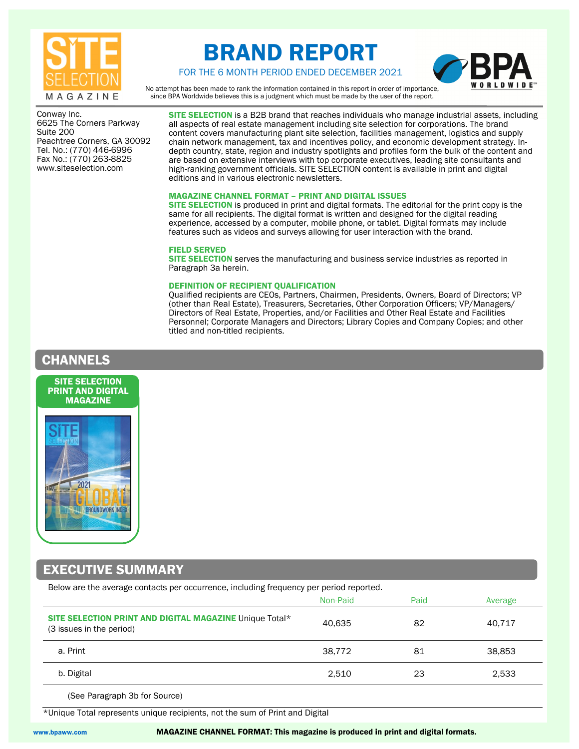

# BRAND REPORT



FOR THE 6 MONTH PERIOD ENDED DECEMBER 2021

No attempt has been made to rank the information contained in this report in order of importance, since BPA Worldwide believes this is a judgment which must be made by the user of the report.

Conway Inc. 6625 The Corners Parkway Suite 200 Peachtree Corners, GA 30092 Tel. No.: (770) 446-6996 Fax No.: (770) 263-8825 www.siteselection.com

SITE SELECTION is a B2B brand that reaches individuals who manage industrial assets, including all aspects of real estate management including site selection for corporations. The brand content covers manufacturing plant site selection, facilities management, logistics and supply chain network management, tax and incentives policy, and economic development strategy. Indepth country, state, region and industry spotlights and profiles form the bulk of the content and are based on extensive interviews with top corporate executives, leading site consultants and high-ranking government officials. SITE SELECTION content is available in print and digital editions and in various electronic newsletters.

# MAGAZINE CHANNEL FORMAT – PRINT AND DIGITAL ISSUES

SITE SELECTION is produced in print and digital formats. The editorial for the print copy is the same for all recipients. The digital format is written and designed for the digital reading experience, accessed by a computer, mobile phone, or tablet. Digital formats may include features such as videos and surveys allowing for user interaction with the brand.

# FIELD SERVED

SITE SELECTION serves the manufacturing and business service industries as reported in Paragraph 3a herein.

# DEFINITION OF RECIPIENT QUALIFICATION

Qualified recipients are CEOs, Partners, Chairmen, Presidents, Owners, Board of Directors; VP (other than Real Estate), Treasurers, Secretaries, Other Corporation Officers; VP/Managers/ Directors of Real Estate, Properties, and/or Facilities and Other Real Estate and Facilities Personnel; Corporate Managers and Directors; Library Copies and Company Copies; and other titled and non-titled recipients.

# CHANNELS





# EXECUTIVE SUMMARY

Below are the average contacts per occurrence, including frequency per period reported.

| Non-Paid | Paid | Average |
|----------|------|---------|
| 40,635   | 82   | 40.717  |
| 38,772   | 81   | 38,853  |
| 2.510    | 23   | 2,533   |
|          |      |         |

(See Paragraph 3b for Source)

\*Unique Total represents unique recipients, not the sum of Print and Digital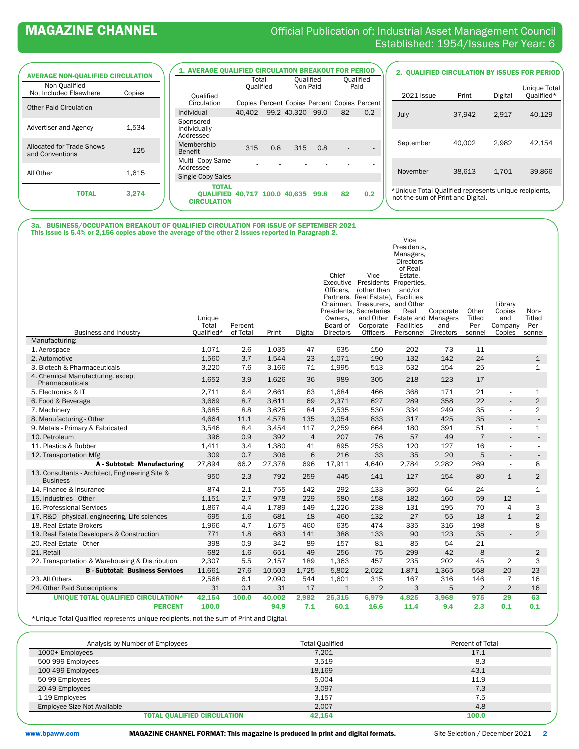# **MAGAZINE CHANNEL CHANNEL** Official Publication of: Industrial Asset Management Council Established: 1954/Issues Per Year: 6

| <b>AVERAGE NON-QUALIFIED CIRCULATION</b>     |        |  |  |  |  |  |  |  |
|----------------------------------------------|--------|--|--|--|--|--|--|--|
| Non-Qualified<br>Not Included Elsewhere      | Copies |  |  |  |  |  |  |  |
| <b>Other Paid Circulation</b>                |        |  |  |  |  |  |  |  |
| Advertiser and Agency                        | 1,534  |  |  |  |  |  |  |  |
| Allocated for Trade Shows<br>and Conventions | 125    |  |  |  |  |  |  |  |
| All Other                                    | 1,615  |  |  |  |  |  |  |  |
| ΤΩΤΑΙ                                        | 3.274  |  |  |  |  |  |  |  |

| <b>1. AVERAGE OUALIFIED CIRCULATION BREAKOUT FOR PERIOD</b> |                    |                     |             |          |                   |                                              |  |
|-------------------------------------------------------------|--------------------|---------------------|-------------|----------|-------------------|----------------------------------------------|--|
|                                                             | Total<br>Qualified |                     | Qualified   | Non-Paid | Oualified<br>Paid |                                              |  |
| Qualified<br>Circulation                                    |                    |                     |             |          |                   | Copies Percent Copies Percent Copies Percent |  |
| Individual                                                  | 40.402             |                     | 99.2 40.320 | 99.0     | 82                | 0.2                                          |  |
| Sponsored<br>Individually<br>Addressed                      |                    |                     |             |          |                   |                                              |  |
| Membership<br>Benefit                                       | 315                | 0.8                 | 315         | 0.8      |                   |                                              |  |
| Multi-Copy Same<br>Addressee                                |                    |                     |             |          |                   |                                              |  |
| <b>Single Copy Sales</b>                                    |                    |                     |             |          |                   |                                              |  |
| <b>TOTAL</b><br><b>OUALIFIED</b><br><b>CIRCULATION</b>      |                    | 40.717 100.0 40.635 |             | 99.8     | 82                | 0.2                                          |  |

| <b>2. OUALIFIED CIRCULATION BY ISSUES FOR PERIOD</b>                                       |        |         |                                   |  |  |  |  |
|--------------------------------------------------------------------------------------------|--------|---------|-----------------------------------|--|--|--|--|
| 2021 Issue                                                                                 | Print  | Digital | <b>Unique Total</b><br>Qualified* |  |  |  |  |
| July                                                                                       | 37.942 | 2.917   | 40.129                            |  |  |  |  |
| September                                                                                  | 40.002 | 2.982   | 42,154                            |  |  |  |  |
| November                                                                                   | 38,613 | 1.701   | 39.866                            |  |  |  |  |
| *Unique Total Qualified represents unique recipients,<br>not the sum of Print and Digital. |        |         |                                   |  |  |  |  |

3a. BUSINESS/OCCUPATION BREAKOUT OF QUALIFIED CIRCULATION FOR ISSUE OF SEPTEMBER 2021 This issue is 5.4% or 2,156 copies above the average of the other 2 issues reported in Paragraph 2.

| Business and Industry                                              | Unique<br>Total<br>Qualified* | Percent<br>of Total | Print  | Digital        | Chief<br>Officers.<br>Owners.<br>Board of<br><b>Directors</b> | Vice<br>Executive Presidents Properties,<br>(other than<br>Partners, Real Estate), Facilities<br>Chairmen. Treasurers, and Other<br>Presidents, Secretaries<br>Corporate<br>Officers | Vice<br>Presidents,<br>Managers,<br><b>Directors</b><br>of Real<br>Estate,<br>and/or<br>Real<br>and Other Estate and Managers<br>Facilities<br>Personnel Directors | Corporate<br>and | Other<br>Titled<br>Per-<br>sonnel | Library<br>Copies<br>and<br>Company<br>Copies | Non-<br>Titled<br>Per-<br>sonnel |
|--------------------------------------------------------------------|-------------------------------|---------------------|--------|----------------|---------------------------------------------------------------|--------------------------------------------------------------------------------------------------------------------------------------------------------------------------------------|--------------------------------------------------------------------------------------------------------------------------------------------------------------------|------------------|-----------------------------------|-----------------------------------------------|----------------------------------|
| Manufacturing:                                                     |                               |                     |        |                |                                                               |                                                                                                                                                                                      |                                                                                                                                                                    |                  |                                   |                                               |                                  |
| 1. Aerospace                                                       | 1,071                         | 2.6                 | 1,035  | 47             | 635                                                           | 150                                                                                                                                                                                  | 202                                                                                                                                                                | 73               | 11                                |                                               |                                  |
| 2. Automotive                                                      | 1,560                         | 3.7                 | 1,544  | 23             | 1,071                                                         | 190                                                                                                                                                                                  | 132                                                                                                                                                                | 142              | 24                                | $\overline{\phantom{a}}$                      | $\mathbf{1}$                     |
| 3. Biotech & Pharmaceuticals                                       | 3,220                         | 7.6                 | 3,166  | 71             | 1,995                                                         | 513                                                                                                                                                                                  | 532                                                                                                                                                                | 154              | 25                                | ×.                                            | $\mathbf{1}$                     |
| 4. Chemical Manufacturing, except<br>Pharmaceuticals               | 1,652                         | 3.9                 | 1,626  | 36             | 989                                                           | 305                                                                                                                                                                                  | 218                                                                                                                                                                | 123              | 17                                |                                               |                                  |
| 5. Electronics & IT                                                | 2,711                         | 6.4                 | 2,661  | 63             | 1,684                                                         | 466                                                                                                                                                                                  | 368                                                                                                                                                                | 171              | 21                                | ÷                                             | 1                                |
| 6. Food & Beverage                                                 | 3,669                         | 8.7                 | 3,611  | 69             | 2,371                                                         | 627                                                                                                                                                                                  | 289                                                                                                                                                                | 358              | 22                                |                                               | $\overline{2}$                   |
| 7. Machinery                                                       | 3,685                         | 8.8                 | 3,625  | 84             | 2,535                                                         | 530                                                                                                                                                                                  | 334                                                                                                                                                                | 249              | 35                                | ×.                                            | $\overline{c}$                   |
| 8. Manufacturing - Other                                           | 4,664                         | 11.1                | 4,578  | 135            | 3,054                                                         | 833                                                                                                                                                                                  | 317                                                                                                                                                                | 425              | 35                                | $\overline{\phantom{a}}$                      | $\overline{\phantom{a}}$         |
| 9. Metals - Primary & Fabricated                                   | 3,546                         | 8.4                 | 3.454  | 117            | 2,259                                                         | 664                                                                                                                                                                                  | 180                                                                                                                                                                | 391              | 51                                | ÷.                                            | 1                                |
| 10. Petroleum                                                      | 396                           | 0.9                 | 392    | $\overline{4}$ | 207                                                           | 76                                                                                                                                                                                   | 57                                                                                                                                                                 | 49               | $\overline{7}$                    |                                               | $\overline{\phantom{a}}$         |
| 11. Plastics & Rubber                                              | 1,411                         | 3.4                 | 1,380  | 41             | 895                                                           | 253                                                                                                                                                                                  | 120                                                                                                                                                                | 127              | 16                                | ÷,                                            | ×.                               |
| 12. Transportation Mfg                                             | 309                           | 0.7                 | 306    | 6              | 216                                                           | 33                                                                                                                                                                                   | 35                                                                                                                                                                 | 20               | 5                                 | $\overline{\phantom{a}}$                      | $\overline{\phantom{a}}$         |
| <b>A</b> - Subtotal: Manufacturing                                 | 27,894                        | 66.2                | 27,378 | 696            | 17,911                                                        | 4,640                                                                                                                                                                                | 2,784                                                                                                                                                              | 2,282            | 269                               | ÷,                                            | 8                                |
| 13. Consultants - Architect, Engineering Site &<br><b>Business</b> | 950                           | 2.3                 | 792    | 259            | 445                                                           | 141                                                                                                                                                                                  | 127                                                                                                                                                                | 154              | 80                                | $\mathbf{1}$                                  | $\overline{2}$                   |
| 14. Finance & Insurance                                            | 874                           | 2.1                 | 755    | 142            | 292                                                           | 133                                                                                                                                                                                  | 360                                                                                                                                                                | 64               | 24                                | ÷.                                            | 1                                |
| 15. Industries - Other                                             | 1,151                         | 2.7                 | 978    | 229            | 580                                                           | 158                                                                                                                                                                                  | 182                                                                                                                                                                | 160              | 59                                | 12                                            | $\sim$                           |
| 16. Professional Services                                          | 1,867                         | 4.4                 | 1,789  | 149            | 1,226                                                         | 238                                                                                                                                                                                  | 131                                                                                                                                                                | 195              | 70                                | 4                                             | 3                                |
| 17. R&D - physical, engineering, Life sciences                     | 695                           | 1.6                 | 681    | 18             | 460                                                           | 132                                                                                                                                                                                  | 27                                                                                                                                                                 | 55               | 18                                | $\mathbf{1}$                                  | $\overline{2}$                   |
| 18. Real Estate Brokers                                            | 1,966                         | 4.7                 | 1,675  | 460            | 635                                                           | 474                                                                                                                                                                                  | 335                                                                                                                                                                | 316              | 198                               | ÷.                                            | 8                                |
| 19. Real Estate Developers & Construction                          | 771                           | 1.8                 | 683    | 141            | 388                                                           | 133                                                                                                                                                                                  | 90                                                                                                                                                                 | 123              | 35                                | $\overline{\phantom{a}}$                      | $\overline{2}$                   |
| 20. Real Estate - Other                                            | 398                           | 0.9                 | 342    | 89             | 157                                                           | 81                                                                                                                                                                                   | 85                                                                                                                                                                 | 54               | 21                                | ÷                                             | ÷.                               |
| 21. Retail                                                         | 682                           | 1.6                 | 651    | 49             | 256                                                           | 75                                                                                                                                                                                   | 299                                                                                                                                                                | 42               | 8                                 | $\blacksquare$                                | $\overline{2}$                   |
| 22. Transportation & Warehousing & Distribution                    | 2,307                         | 5.5                 | 2,157  | 189            | 1,363                                                         | 457                                                                                                                                                                                  | 235                                                                                                                                                                | 202              | 45                                | $\overline{2}$                                | 3                                |
| <b>B</b> - Subtotal: Business Services                             | 11,661                        | 27.6                | 10,503 | 1,725          | 5,802                                                         | 2,022                                                                                                                                                                                | 1,871                                                                                                                                                              | 1,365            | 558                               | 20                                            | 23                               |
| 23. All Others                                                     | 2,568                         | 6.1                 | 2,090  | 544            | 1,601                                                         | 315                                                                                                                                                                                  | 167                                                                                                                                                                | 316              | 146                               | $\overline{7}$                                | 16                               |
| 24. Other Paid Subscriptions                                       | 31                            | 0.1                 | 31     | 17             | $\mathbf{1}$                                                  | $\overline{2}$                                                                                                                                                                       | 3                                                                                                                                                                  | 5                | $\overline{2}$                    | $\overline{2}$                                | 16                               |
| UNIQUE TOTAL QUALIFIED CIRCULATION*                                | 42,154                        | 100.0               | 40,002 | 2,982          | 25,315                                                        | 6,979                                                                                                                                                                                | 4,825                                                                                                                                                              | 3,968            | 975                               | 29                                            | 63                               |
| <b>PERCENT</b>                                                     | 100.0                         |                     | 94.9   | 7.1            | 60.1                                                          | 16.6                                                                                                                                                                                 | 11.4                                                                                                                                                               | 9.4              | 2.3                               | 0.1                                           | 0.1                              |

\*Unique Total Qualified represents unique recipients, not the sum of Print and Digital.

| Analysis by Number of Employees    | <b>Total Qualified</b> | Percent of Total |
|------------------------------------|------------------------|------------------|
| 1000+ Employees                    | 7,201                  | 17.1             |
| 500-999 Employees                  | 3,519                  | 8.3              |
| 100-499 Employees                  | 18,169                 | 43.1             |
| 50-99 Employees                    | 5.004                  | 11.9             |
| 20-49 Employees                    | 3.097                  | 7.3              |
| 1-19 Employees                     | 3.157                  | 7.5              |
| Employee Size Not Available        | 2.007                  | 4.8              |
| <b>TOTAL QUALIFIED CIRCULATION</b> | 42,154                 | 100.0            |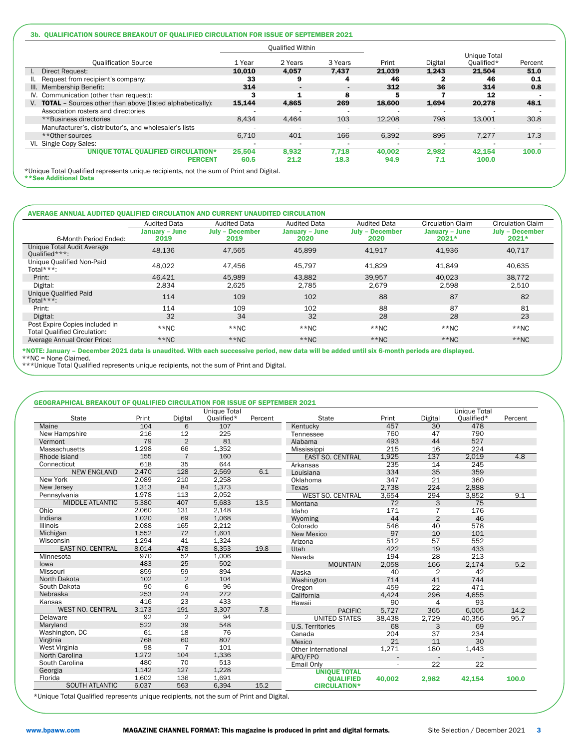#### 3b. QUALIFICATION SOURCE BREAKOUT OF QUALIFIED CIRCULATION FOR ISSUE OF SEPTEMBER 2021

|                                                                     | <b>Oualified Within</b> |                |                          |                          |         |                            |         |
|---------------------------------------------------------------------|-------------------------|----------------|--------------------------|--------------------------|---------|----------------------------|---------|
| <b>Oualification Source</b>                                         | 1 Year                  | 2 Years        | 3 Years                  | Print                    | Digital | Unique Total<br>Oualified* | Percent |
| Direct Request:                                                     | 10.010                  | 4.057          | 7.437                    | 21.039                   | 1.243   | 21.504                     | 51.0    |
| Request from recipient's company:<br>II.                            | 33                      | 9              |                          | 46                       |         | 46                         | 0.1     |
| III. Membership Benefit:                                            | 314                     | $\blacksquare$ | $\blacksquare$           | 312                      | 36      | 314                        | 0.8     |
| IV. Communication (other than request):                             | 3                       |                | 8                        | 5                        |         | 12                         |         |
| V. <b>TOTAL</b> - Sources other than above (listed alphabetically): | 15.144                  | 4.865          | 269                      | 18.600                   | 1.694   | 20.278                     | 48.1    |
| Association rosters and directories                                 |                         |                | $\overline{\phantom{a}}$ | $\overline{\phantom{a}}$ |         |                            |         |
| **Business directories*                                             | 8.434                   | 4.464          | 103                      | 12.208                   | 798     | 13.001                     | 30.8    |
| Manufacturer's, distributor's, and wholesaler's lists               |                         |                |                          |                          |         |                            |         |
| **Other sources                                                     | 6.710                   | 401            | 166                      | 6.392                    | 896     | 7.277                      | 17.3    |
| VI. Single Copy Sales:                                              |                         | -              | $\blacksquare$           | $\blacksquare$           |         |                            |         |
| UNIOUE TOTAL OUALIFIED CIRCULATION*                                 | 25.504                  | 8.932          | 7.718                    | 40.002                   | 2.982   | 42.154                     | 100.0   |
| <b>PERCENT</b>                                                      | 60.5                    | 21.2           | 18.3                     | 94.9                     | 7.1     | 100.0                      |         |

\*Unique Total Qualified represents unique recipients, not the sum of Print and Digital. \*\*See Additional Data

## AVERAGE ANNUAL AUDITED QUALIFIED CIRCULATION AND CURRENT UNAUDITED CIRCULATION

|                                                                       | <b>Audited Data</b>    | <b>Audited Data</b>            | <b>Audited Data</b>    | <b>Audited Data</b>            | <b>Circulation Claim</b>  | <b>Circulation Claim</b>        |
|-----------------------------------------------------------------------|------------------------|--------------------------------|------------------------|--------------------------------|---------------------------|---------------------------------|
| 6-Month Period Ended:                                                 | January - June<br>2019 | <b>July - December</b><br>2019 | January - June<br>2020 | <b>July - December</b><br>2020 | January - June<br>$2021*$ | <b>July - December</b><br>2021* |
| Unique Total Audit Average<br>Oualified***:                           | 48,136                 | 47,565                         | 45,899                 | 41,917                         | 41,936                    | 40,717                          |
| Unique Qualified Non-Paid<br>Total***:                                | 48,022                 | 47.456                         | 45,797                 | 41,829                         | 41,849                    | 40,635                          |
| Print:                                                                | 46.421                 | 45.989                         | 43,882                 | 39,957                         | 40,023                    | 38,772                          |
| Digital:                                                              | 2,834                  | 2,625                          | 2.785                  | 2,679                          | 2,598                     | 2,510                           |
| Unique Qualified Paid<br>Total***:                                    | 114                    | 109                            | 102                    | 88                             | 87                        | 82                              |
| Print:                                                                | 114                    | 109                            | 102                    | 88                             | 87                        | 81                              |
| Digital:                                                              | 32                     | 34                             | 32                     | 28                             | 28                        | 23                              |
| Post Expire Copies included in<br><b>Total Qualified Circulation:</b> | $*$ NC                 | $*$ NC                         | $**NC$                 | $*$ NC                         | $*$ NC                    | $**NC$                          |
| Average Annual Order Price:                                           | $**NC$                 | $*$ NC                         | $*$ NC                 | $*$ NC                         | $**NC$                    | $**NC$                          |

\*<mark>NOTE: January – December 2021 data is unaudited. With each successive period, new data will be added until six 6-month periods are displayed.<br>\*\*NC = None Claimed.<br>\*\*\*Unique Total Qualified represents unique recipients, n</mark>

### GEOGRAPHICAL BREAKOUT OF QUALIFIED CIRCULATION FOR ISSUE OF SEPTEMBER 2021

|                         |       |                | <b>Unique Total</b> |         |                         |                 |                | <b>Unique Total</b> |         |
|-------------------------|-------|----------------|---------------------|---------|-------------------------|-----------------|----------------|---------------------|---------|
| <b>State</b>            | Print | Digital        | Oualified*          | Percent | <b>State</b>            | Print           | Digital        | Oualified*          | Percent |
| Maine                   | 104   | 6              | 107                 |         | Kentucky                | 457             | 30             | 478                 |         |
| New Hampshire           | 216   | 12             | 225                 |         | Tennessee               | 760             | 47             | 790                 |         |
| Vermont                 | 79    | $\overline{2}$ | 81                  |         | Alabama                 | 493             | 44             | 527                 |         |
| Massachusetts           | 1,298 | 66             | 1,352               |         | Mississippi             | 215             | 16             | 224                 |         |
| Rhode Island            | 155   | $\overline{7}$ | 160                 |         | <b>EAST SO. CENTRAL</b> | 1,925           | 137            | 2,019               | 4.8     |
| Connecticut             | 618   | 35             | 644                 |         | Arkansas                | 235             | 14             | 245                 |         |
| <b>NEW ENGLAND</b>      | 2,470 | 128            | 2,569               | 6.1     | Louisiana               | 334             | 35             | 359                 |         |
| New York                | 2,089 | 210            | 2,258               |         | Oklahoma                | 347             | 21             | 360                 |         |
| New Jersey              | 1,313 | 84             | 1,373               |         | <b>Texas</b>            | 2,738           | 224            | 2,888               |         |
| Pennsylvania            | 1,978 | 113            | 2,052               |         | <b>WEST SO. CENTRAL</b> | 3,654           | 294            | 3,852               | 9.1     |
| <b>MIDDLE ATLANTIC</b>  | 5,380 | 407            | 5,683               | 13.5    | Montana                 | $\overline{72}$ | 3              | 75                  |         |
| Ohio                    | 2,060 | 131            | 2,148               |         | Idaho                   | 171             |                | 176                 |         |
| Indiana                 | 1,020 | 69             | 1,068               |         | Wvoming                 | 44              | $\overline{2}$ | 46                  |         |
| <b>Illinois</b>         | 2,088 | 165            | 2,212               |         | Colorado                | 546             | 40             | 578                 |         |
| Michigan                | 1,552 | 72             | 1,601               |         | <b>New Mexico</b>       | 97              | 10             | 101                 |         |
| Wisconsin               | 1,294 | 41             | 1,324               |         | Arizona                 | 512             | 57             | 552                 |         |
| EAST NO. CENTRAL        | 8,014 | 478            | 8,353               | 19.8    | Utah                    | 422             | 19             | 433                 |         |
| Minnesota               | 970   | 52             | 1,006               |         | Nevada                  | 194             | 28             | 213                 |         |
| lowa                    | 483   | 25             | 502                 |         | <b>MOUNTAIN</b>         | 2,058           | 166            | 2,174               | 5.2     |
| Missouri                | 859   | 59             | 894                 |         | Alaska                  | 40              | $\overline{2}$ | 42                  |         |
| North Dakota            | 102   | $\overline{2}$ | 104                 |         | Washington              | 714             | 41             | 744                 |         |
| South Dakota            | 90    | 6              | 96                  |         | Oregon                  | 459             | 22             | 471                 |         |
| Nebraska                | 253   | 24             | 272                 |         | California              | 4.424           | 296            | 4,655               |         |
| Kansas                  | 416   | 23             | 433                 |         | Hawaii                  | 90              | 4              | 93                  |         |
| <b>WEST NO. CENTRAL</b> | 3,173 | 191            | 3,307               | 7.8     | <b>PACIFIC</b>          | 5,727           | 365            | 6,005               | 14.2    |
| Delaware                | 92    | $\overline{2}$ | 94                  |         | <b>UNITED STATES</b>    | 38,438          | 2.729          | 40,356              | 95.7    |
| Maryland                | 522   | 39             | 548                 |         | <b>U.S. Territories</b> | 68              | 3              | 69                  |         |
| Washington, DC          | 61    | 18             | 76                  |         | Canada                  | 204             | 37             | 234                 |         |
| Virginia                | 768   | 60             | 807                 |         | Mexico                  | 21              | 11             | 30                  |         |
| West Virginia           | 98    | $\overline{7}$ | 101                 |         | Other International     | 1,271           | 180            | 1,443               |         |
| North Carolina          | 1.272 | 104            | 1,336               |         | APO/FPO                 |                 |                |                     |         |
| South Carolina          | 480   | 70             | 513                 |         | Email Only              |                 | 22             | 22                  |         |
| Georgia                 | 1,142 | 127            | 1,228               |         | <b>UNIQUE TOTAL</b>     |                 |                |                     |         |
| Florida                 | 1,602 | 136            | 1,691               |         | <b>QUALIFIED</b>        | 40,002          | 2,982          | 42,154              | 100.0   |
| <b>SOUTH ATLANTIC</b>   | 6,037 | 563            | 6,394               | 15.2    | <b>CIRCULATION*</b>     |                 |                |                     |         |

\*Unique Total Qualified represents unique recipients, not the sum of Print and Digital.